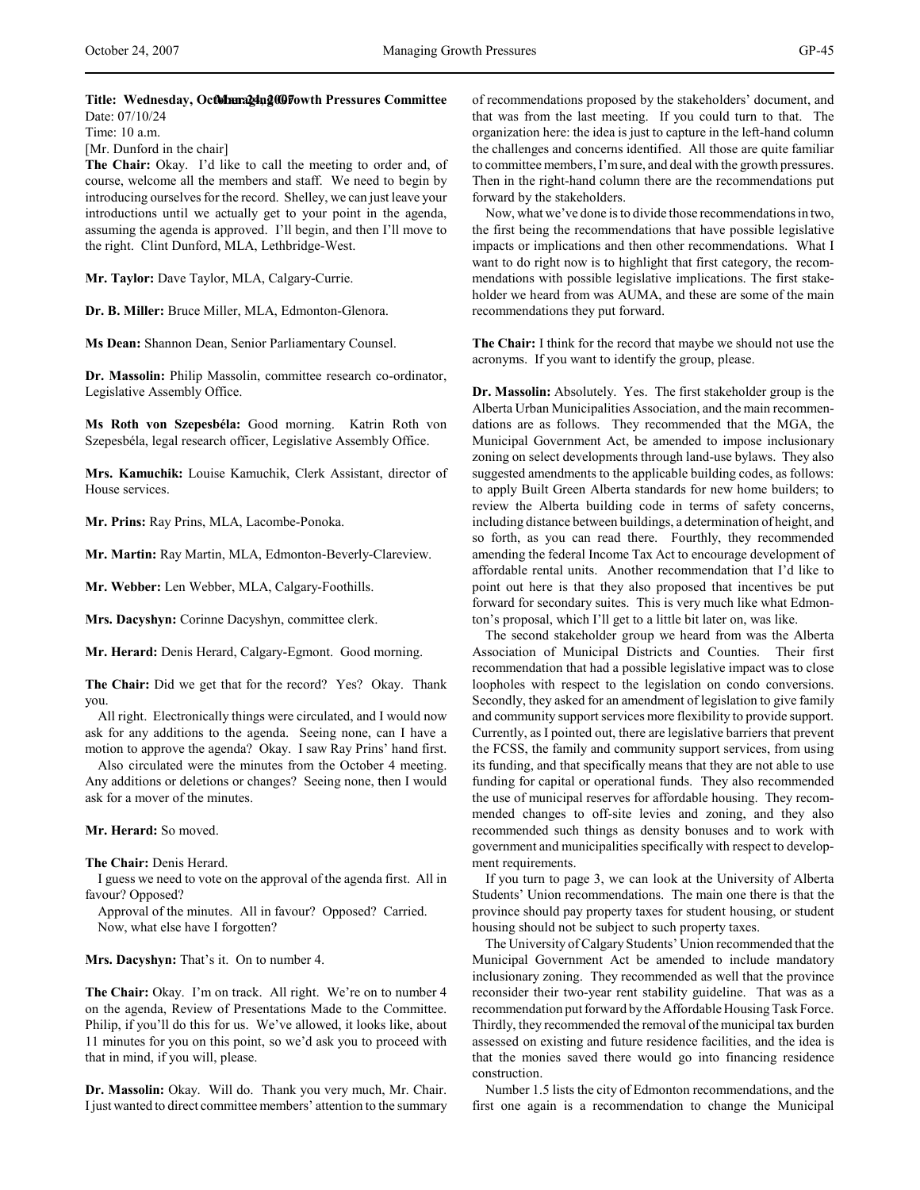Date: 07/10/24 Time: 10 a.m.

[Mr. Dunford in the chair]

**The Chair:** Okay. I'd like to call the meeting to order and, of course, welcome all the members and staff. We need to begin by introducing ourselves for the record. Shelley, we can just leave your introductions until we actually get to your point in the agenda, assuming the agenda is approved. I'll begin, and then I'll move to the right. Clint Dunford, MLA, Lethbridge-West.

**Mr. Taylor:** Dave Taylor, MLA, Calgary-Currie.

**Dr. B. Miller:** Bruce Miller, MLA, Edmonton-Glenora.

**Ms Dean:** Shannon Dean, Senior Parliamentary Counsel.

**Dr. Massolin:** Philip Massolin, committee research co-ordinator, Legislative Assembly Office.

**Ms Roth von Szepesbéla:** Good morning. Katrin Roth von Szepesbéla, legal research officer, Legislative Assembly Office.

**Mrs. Kamuchik:** Louise Kamuchik, Clerk Assistant, director of House services.

**Mr. Prins:** Ray Prins, MLA, Lacombe-Ponoka.

**Mr. Martin:** Ray Martin, MLA, Edmonton-Beverly-Clareview.

**Mr. Webber:** Len Webber, MLA, Calgary-Foothills.

**Mrs. Dacyshyn:** Corinne Dacyshyn, committee clerk.

**Mr. Herard:** Denis Herard, Calgary-Egmont. Good morning.

**The Chair:** Did we get that for the record? Yes? Okay. Thank you.

All right. Electronically things were circulated, and I would now ask for any additions to the agenda. Seeing none, can I have a motion to approve the agenda? Okay. I saw Ray Prins' hand first.

Also circulated were the minutes from the October 4 meeting. Any additions or deletions or changes? Seeing none, then I would ask for a mover of the minutes.

**Mr. Herard:** So moved.

**The Chair:** Denis Herard.

I guess we need to vote on the approval of the agenda first. All in favour? Opposed?

Approval of the minutes. All in favour? Opposed? Carried. Now, what else have I forgotten?

**Mrs. Dacyshyn:** That's it. On to number 4.

**The Chair:** Okay. I'm on track. All right. We're on to number 4 on the agenda, Review of Presentations Made to the Committee. Philip, if you'll do this for us. We've allowed, it looks like, about 11 minutes for you on this point, so we'd ask you to proceed with that in mind, if you will, please.

**Dr. Massolin:** Okay. Will do. Thank you very much, Mr. Chair. I just wanted to direct committee members' attention to the summary of recommendations proposed by the stakeholders' document, and that was from the last meeting. If you could turn to that. The organization here: the idea is just to capture in the left-hand column the challenges and concerns identified. All those are quite familiar to committee members, I'm sure, and deal with the growth pressures. Then in the right-hand column there are the recommendations put forward by the stakeholders.

Now, what we've done is to divide those recommendations in two, the first being the recommendations that have possible legislative impacts or implications and then other recommendations. What I want to do right now is to highlight that first category, the recommendations with possible legislative implications. The first stakeholder we heard from was AUMA, and these are some of the main recommendations they put forward.

**The Chair:** I think for the record that maybe we should not use the acronyms. If you want to identify the group, please.

**Dr. Massolin:** Absolutely. Yes. The first stakeholder group is the Alberta Urban Municipalities Association, and the main recommendations are as follows. They recommended that the MGA, the Municipal Government Act, be amended to impose inclusionary zoning on select developments through land-use bylaws. They also suggested amendments to the applicable building codes, as follows: to apply Built Green Alberta standards for new home builders; to review the Alberta building code in terms of safety concerns, including distance between buildings, a determination of height, and so forth, as you can read there. Fourthly, they recommended amending the federal Income Tax Act to encourage development of affordable rental units. Another recommendation that I'd like to point out here is that they also proposed that incentives be put forward for secondary suites. This is very much like what Edmonton's proposal, which I'll get to a little bit later on, was like.

The second stakeholder group we heard from was the Alberta Association of Municipal Districts and Counties. Their first recommendation that had a possible legislative impact was to close loopholes with respect to the legislation on condo conversions. Secondly, they asked for an amendment of legislation to give family and community support services more flexibility to provide support. Currently, as I pointed out, there are legislative barriers that prevent the FCSS, the family and community support services, from using its funding, and that specifically means that they are not able to use funding for capital or operational funds. They also recommended the use of municipal reserves for affordable housing. They recommended changes to off-site levies and zoning, and they also recommended such things as density bonuses and to work with government and municipalities specifically with respect to development requirements.

If you turn to page 3, we can look at the University of Alberta Students' Union recommendations. The main one there is that the province should pay property taxes for student housing, or student housing should not be subject to such property taxes.

The University of Calgary Students' Union recommended that the Municipal Government Act be amended to include mandatory inclusionary zoning. They recommended as well that the province reconsider their two-year rent stability guideline. That was as a recommendation put forward by the Affordable Housing Task Force. Thirdly, they recommended the removal of the municipal tax burden assessed on existing and future residence facilities, and the idea is that the monies saved there would go into financing residence construction.

Number 1.5 lists the city of Edmonton recommendations, and the first one again is a recommendation to change the Municipal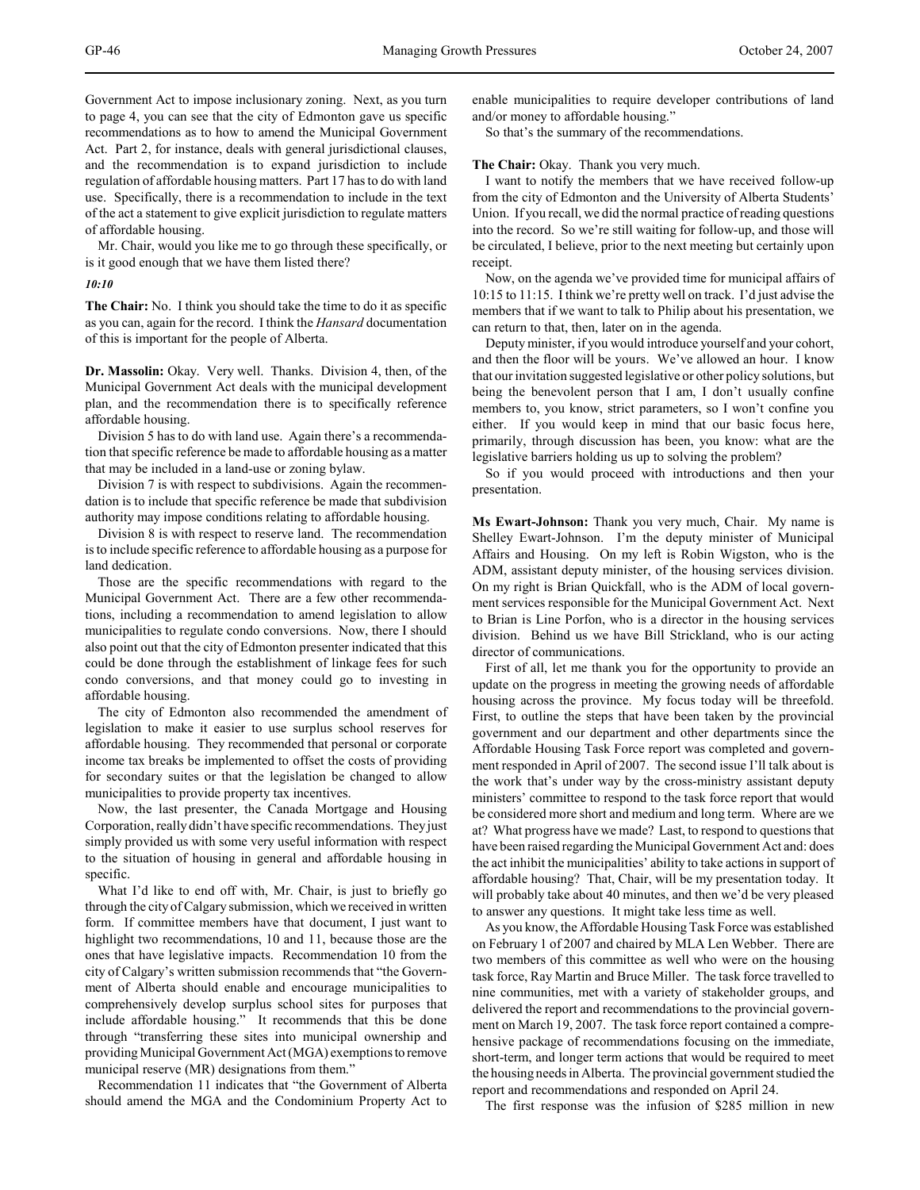Government Act to impose inclusionary zoning. Next, as you turn to page 4, you can see that the city of Edmonton gave us specific recommendations as to how to amend the Municipal Government Act. Part 2, for instance, deals with general jurisdictional clauses, and the recommendation is to expand jurisdiction to include regulation of affordable housing matters. Part 17 has to do with land use. Specifically, there is a recommendation to include in the text of the act a statement to give explicit jurisdiction to regulate matters of affordable housing.

Mr. Chair, would you like me to go through these specifically, or is it good enough that we have them listed there?

#### *10:10*

**The Chair:** No. I think you should take the time to do it as specific as you can, again for the record. I think the *Hansard* documentation of this is important for the people of Alberta.

**Dr. Massolin:** Okay. Very well. Thanks. Division 4, then, of the Municipal Government Act deals with the municipal development plan, and the recommendation there is to specifically reference affordable housing.

Division 5 has to do with land use. Again there's a recommendation that specific reference be made to affordable housing as a matter that may be included in a land-use or zoning bylaw.

Division 7 is with respect to subdivisions. Again the recommendation is to include that specific reference be made that subdivision authority may impose conditions relating to affordable housing.

Division 8 is with respect to reserve land. The recommendation is to include specific reference to affordable housing as a purpose for land dedication.

Those are the specific recommendations with regard to the Municipal Government Act. There are a few other recommendations, including a recommendation to amend legislation to allow municipalities to regulate condo conversions. Now, there I should also point out that the city of Edmonton presenter indicated that this could be done through the establishment of linkage fees for such condo conversions, and that money could go to investing in affordable housing.

The city of Edmonton also recommended the amendment of legislation to make it easier to use surplus school reserves for affordable housing. They recommended that personal or corporate income tax breaks be implemented to offset the costs of providing for secondary suites or that the legislation be changed to allow municipalities to provide property tax incentives.

Now, the last presenter, the Canada Mortgage and Housing Corporation, really didn't have specific recommendations. They just simply provided us with some very useful information with respect to the situation of housing in general and affordable housing in specific.

What I'd like to end off with, Mr. Chair, is just to briefly go through the city of Calgary submission, which we received in written form. If committee members have that document, I just want to highlight two recommendations, 10 and 11, because those are the ones that have legislative impacts. Recommendation 10 from the city of Calgary's written submission recommends that "the Government of Alberta should enable and encourage municipalities to comprehensively develop surplus school sites for purposes that include affordable housing." It recommends that this be done through "transferring these sites into municipal ownership and providing Municipal Government Act (MGA) exemptions to remove municipal reserve (MR) designations from them."

Recommendation 11 indicates that "the Government of Alberta should amend the MGA and the Condominium Property Act to enable municipalities to require developer contributions of land and/or money to affordable housing."

So that's the summary of the recommendations.

**The Chair:** Okay. Thank you very much.

I want to notify the members that we have received follow-up from the city of Edmonton and the University of Alberta Students' Union. If you recall, we did the normal practice of reading questions into the record. So we're still waiting for follow-up, and those will be circulated, I believe, prior to the next meeting but certainly upon receipt.

Now, on the agenda we've provided time for municipal affairs of 10:15 to 11:15. I think we're pretty well on track. I'd just advise the members that if we want to talk to Philip about his presentation, we can return to that, then, later on in the agenda.

Deputy minister, if you would introduce yourself and your cohort, and then the floor will be yours. We've allowed an hour. I know that our invitation suggested legislative or other policy solutions, but being the benevolent person that I am, I don't usually confine members to, you know, strict parameters, so I won't confine you either. If you would keep in mind that our basic focus here, primarily, through discussion has been, you know: what are the legislative barriers holding us up to solving the problem?

So if you would proceed with introductions and then your presentation.

**Ms Ewart-Johnson:** Thank you very much, Chair. My name is Shelley Ewart-Johnson. I'm the deputy minister of Municipal Affairs and Housing. On my left is Robin Wigston, who is the ADM, assistant deputy minister, of the housing services division. On my right is Brian Quickfall, who is the ADM of local government services responsible for the Municipal Government Act. Next to Brian is Line Porfon, who is a director in the housing services division. Behind us we have Bill Strickland, who is our acting director of communications.

First of all, let me thank you for the opportunity to provide an update on the progress in meeting the growing needs of affordable housing across the province. My focus today will be threefold. First, to outline the steps that have been taken by the provincial government and our department and other departments since the Affordable Housing Task Force report was completed and government responded in April of 2007. The second issue I'll talk about is the work that's under way by the cross-ministry assistant deputy ministers' committee to respond to the task force report that would be considered more short and medium and long term. Where are we at? What progress have we made? Last, to respond to questions that have been raised regarding the Municipal Government Act and: does the act inhibit the municipalities' ability to take actions in support of affordable housing? That, Chair, will be my presentation today. It will probably take about 40 minutes, and then we'd be very pleased to answer any questions. It might take less time as well.

As you know, the Affordable Housing Task Force was established on February 1 of 2007 and chaired by MLA Len Webber. There are two members of this committee as well who were on the housing task force, Ray Martin and Bruce Miller. The task force travelled to nine communities, met with a variety of stakeholder groups, and delivered the report and recommendations to the provincial government on March 19, 2007. The task force report contained a comprehensive package of recommendations focusing on the immediate, short-term, and longer term actions that would be required to meet the housing needs in Alberta. The provincial government studied the report and recommendations and responded on April 24.

The first response was the infusion of \$285 million in new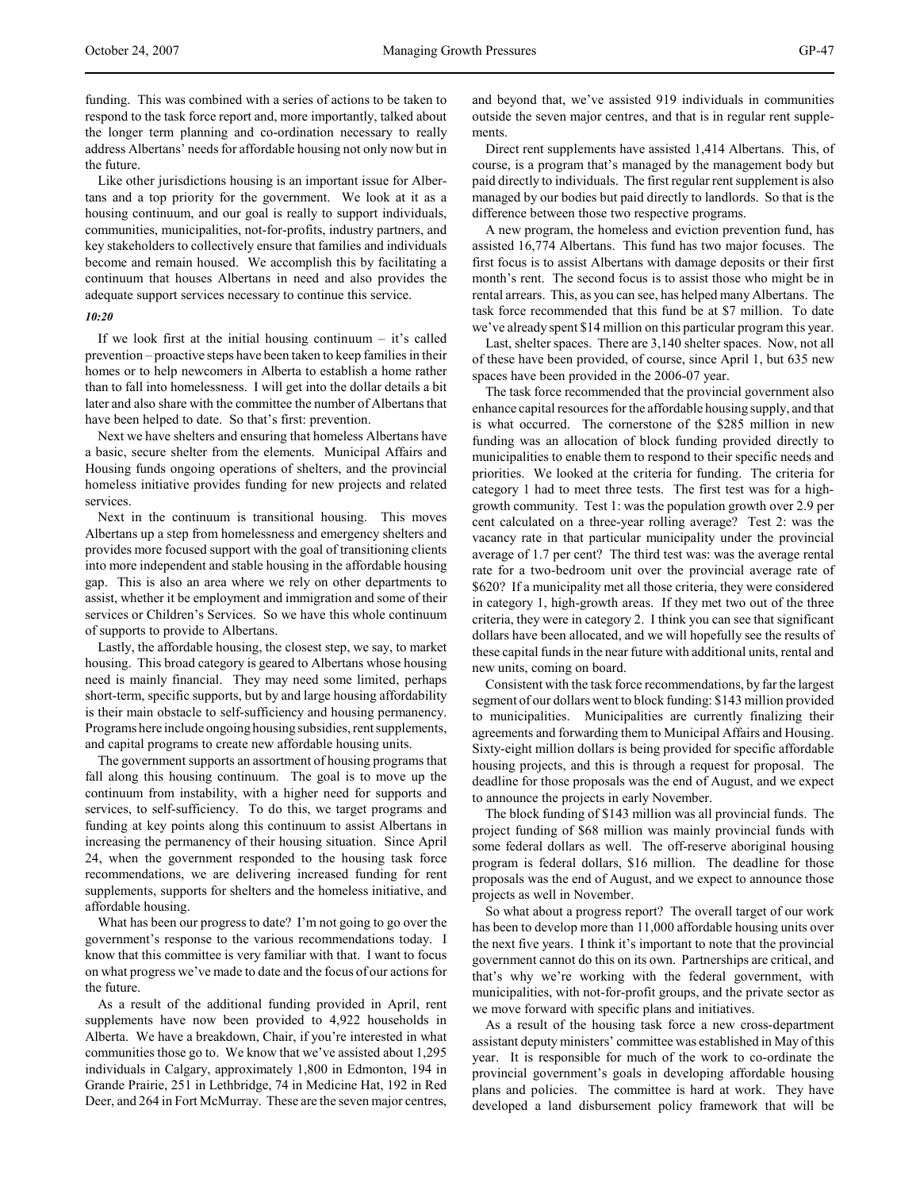funding. This was combined with a series of actions to be taken to respond to the task force report and, more importantly, talked about the longer term planning and co-ordination necessary to really address Albertans' needs for affordable housing not only now but in the future.

Like other jurisdictions housing is an important issue for Albertans and a top priority for the government. We look at it as a housing continuum, and our goal is really to support individuals, communities, municipalities, not-for-profits, industry partners, and key stakeholders to collectively ensure that families and individuals become and remain housed. We accomplish this by facilitating a continuum that houses Albertans in need and also provides the adequate support services necessary to continue this service.

#### *10:20*

If we look first at the initial housing continuum  $-$  it's called prevention – proactive steps have been taken to keep families in their homes or to help newcomers in Alberta to establish a home rather than to fall into homelessness. I will get into the dollar details a bit later and also share with the committee the number of Albertans that have been helped to date. So that's first: prevention.

Next we have shelters and ensuring that homeless Albertans have a basic, secure shelter from the elements. Municipal Affairs and Housing funds ongoing operations of shelters, and the provincial homeless initiative provides funding for new projects and related services.

Next in the continuum is transitional housing. This moves Albertans up a step from homelessness and emergency shelters and provides more focused support with the goal of transitioning clients into more independent and stable housing in the affordable housing gap. This is also an area where we rely on other departments to assist, whether it be employment and immigration and some of their services or Children's Services. So we have this whole continuum of supports to provide to Albertans.

Lastly, the affordable housing, the closest step, we say, to market housing. This broad category is geared to Albertans whose housing need is mainly financial. They may need some limited, perhaps short-term, specific supports, but by and large housing affordability is their main obstacle to self-sufficiency and housing permanency. Programs here include ongoing housing subsidies, rent supplements, and capital programs to create new affordable housing units.

The government supports an assortment of housing programs that fall along this housing continuum. The goal is to move up the continuum from instability, with a higher need for supports and services, to self-sufficiency. To do this, we target programs and funding at key points along this continuum to assist Albertans in increasing the permanency of their housing situation. Since April 24, when the government responded to the housing task force recommendations, we are delivering increased funding for rent supplements, supports for shelters and the homeless initiative, and affordable housing.

What has been our progress to date? I'm not going to go over the government's response to the various recommendations today. I know that this committee is very familiar with that. I want to focus on what progress we've made to date and the focus of our actions for the future.

As a result of the additional funding provided in April, rent supplements have now been provided to 4,922 households in Alberta. We have a breakdown, Chair, if you're interested in what communities those go to. We know that we've assisted about 1,295 individuals in Calgary, approximately 1,800 in Edmonton, 194 in Grande Prairie, 251 in Lethbridge, 74 in Medicine Hat, 192 in Red Deer, and 264 in Fort McMurray. These are the seven major centres,

and beyond that, we've assisted 919 individuals in communities outside the seven major centres, and that is in regular rent supplements.

Direct rent supplements have assisted 1,414 Albertans. This, of course, is a program that's managed by the management body but paid directly to individuals. The first regular rent supplement is also managed by our bodies but paid directly to landlords. So that is the difference between those two respective programs.

A new program, the homeless and eviction prevention fund, has assisted 16,774 Albertans. This fund has two major focuses. The first focus is to assist Albertans with damage deposits or their first month's rent. The second focus is to assist those who might be in rental arrears. This, as you can see, has helped many Albertans. The task force recommended that this fund be at \$7 million. To date we've already spent \$14 million on this particular program this year.

Last, shelter spaces. There are 3,140 shelter spaces. Now, not all of these have been provided, of course, since April 1, but 635 new spaces have been provided in the 2006-07 year.

The task force recommended that the provincial government also enhance capital resources for the affordable housing supply, and that is what occurred. The cornerstone of the \$285 million in new funding was an allocation of block funding provided directly to municipalities to enable them to respond to their specific needs and priorities. We looked at the criteria for funding. The criteria for category 1 had to meet three tests. The first test was for a highgrowth community. Test 1: was the population growth over 2.9 per cent calculated on a three-year rolling average? Test 2: was the vacancy rate in that particular municipality under the provincial average of 1.7 per cent? The third test was: was the average rental rate for a two-bedroom unit over the provincial average rate of \$620? If a municipality met all those criteria, they were considered in category 1, high-growth areas. If they met two out of the three criteria, they were in category 2. I think you can see that significant dollars have been allocated, and we will hopefully see the results of these capital funds in the near future with additional units, rental and new units, coming on board.

Consistent with the task force recommendations, by far the largest segment of our dollars went to block funding: \$143 million provided to municipalities. Municipalities are currently finalizing their agreements and forwarding them to Municipal Affairs and Housing. Sixty-eight million dollars is being provided for specific affordable housing projects, and this is through a request for proposal. The deadline for those proposals was the end of August, and we expect to announce the projects in early November.

The block funding of \$143 million was all provincial funds. The project funding of \$68 million was mainly provincial funds with some federal dollars as well. The off-reserve aboriginal housing program is federal dollars, \$16 million. The deadline for those proposals was the end of August, and we expect to announce those projects as well in November.

So what about a progress report? The overall target of our work has been to develop more than 11,000 affordable housing units over the next five years. I think it's important to note that the provincial government cannot do this on its own. Partnerships are critical, and that's why we're working with the federal government, with municipalities, with not-for-profit groups, and the private sector as we move forward with specific plans and initiatives.

As a result of the housing task force a new cross-department assistant deputy ministers' committee was established in May of this year. It is responsible for much of the work to co-ordinate the provincial government's goals in developing affordable housing plans and policies. The committee is hard at work. They have developed a land disbursement policy framework that will be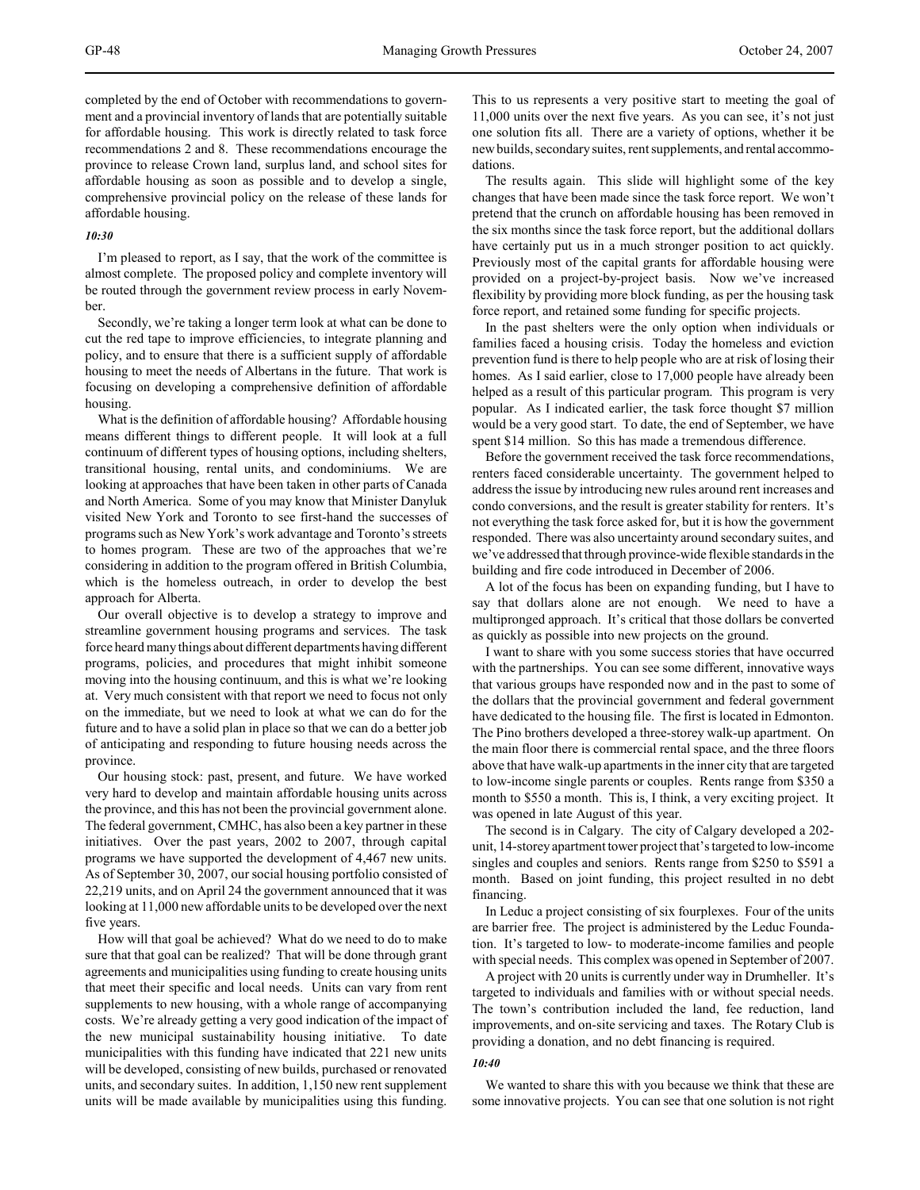completed by the end of October with recommendations to government and a provincial inventory of lands that are potentially suitable for affordable housing. This work is directly related to task force recommendations 2 and 8. These recommendations encourage the province to release Crown land, surplus land, and school sites for affordable housing as soon as possible and to develop a single, comprehensive provincial policy on the release of these lands for affordable housing.

#### *10:30*

I'm pleased to report, as I say, that the work of the committee is almost complete. The proposed policy and complete inventory will be routed through the government review process in early November.

Secondly, we're taking a longer term look at what can be done to cut the red tape to improve efficiencies, to integrate planning and policy, and to ensure that there is a sufficient supply of affordable housing to meet the needs of Albertans in the future. That work is focusing on developing a comprehensive definition of affordable housing.

What is the definition of affordable housing? Affordable housing means different things to different people. It will look at a full continuum of different types of housing options, including shelters, transitional housing, rental units, and condominiums. We are looking at approaches that have been taken in other parts of Canada and North America. Some of you may know that Minister Danyluk visited New York and Toronto to see first-hand the successes of programs such as New York's work advantage and Toronto's streets to homes program. These are two of the approaches that we're considering in addition to the program offered in British Columbia, which is the homeless outreach, in order to develop the best approach for Alberta.

Our overall objective is to develop a strategy to improve and streamline government housing programs and services. The task force heard many things about different departments having different programs, policies, and procedures that might inhibit someone moving into the housing continuum, and this is what we're looking at. Very much consistent with that report we need to focus not only on the immediate, but we need to look at what we can do for the future and to have a solid plan in place so that we can do a better job of anticipating and responding to future housing needs across the province.

Our housing stock: past, present, and future. We have worked very hard to develop and maintain affordable housing units across the province, and this has not been the provincial government alone. The federal government, CMHC, has also been a key partner in these initiatives. Over the past years, 2002 to 2007, through capital programs we have supported the development of 4,467 new units. As of September 30, 2007, our social housing portfolio consisted of 22,219 units, and on April 24 the government announced that it was looking at 11,000 new affordable units to be developed over the next five years.

How will that goal be achieved? What do we need to do to make sure that that goal can be realized? That will be done through grant agreements and municipalities using funding to create housing units that meet their specific and local needs. Units can vary from rent supplements to new housing, with a whole range of accompanying costs. We're already getting a very good indication of the impact of the new municipal sustainability housing initiative. To date municipalities with this funding have indicated that 221 new units will be developed, consisting of new builds, purchased or renovated units, and secondary suites. In addition, 1,150 new rent supplement units will be made available by municipalities using this funding.

This to us represents a very positive start to meeting the goal of 11,000 units over the next five years. As you can see, it's not just one solution fits all. There are a variety of options, whether it be new builds, secondary suites, rent supplements, and rental accommodations.

The results again. This slide will highlight some of the key changes that have been made since the task force report. We won't pretend that the crunch on affordable housing has been removed in the six months since the task force report, but the additional dollars have certainly put us in a much stronger position to act quickly. Previously most of the capital grants for affordable housing were provided on a project-by-project basis. Now we've increased flexibility by providing more block funding, as per the housing task force report, and retained some funding for specific projects.

In the past shelters were the only option when individuals or families faced a housing crisis. Today the homeless and eviction prevention fund is there to help people who are at risk of losing their homes. As I said earlier, close to 17,000 people have already been helped as a result of this particular program. This program is very popular. As I indicated earlier, the task force thought \$7 million would be a very good start. To date, the end of September, we have spent \$14 million. So this has made a tremendous difference.

Before the government received the task force recommendations, renters faced considerable uncertainty. The government helped to address the issue by introducing new rules around rent increases and condo conversions, and the result is greater stability for renters. It's not everything the task force asked for, but it is how the government responded. There was also uncertainty around secondary suites, and we've addressed that through province-wide flexible standards in the building and fire code introduced in December of 2006.

A lot of the focus has been on expanding funding, but I have to say that dollars alone are not enough. We need to have a multipronged approach. It's critical that those dollars be converted as quickly as possible into new projects on the ground.

I want to share with you some success stories that have occurred with the partnerships. You can see some different, innovative ways that various groups have responded now and in the past to some of the dollars that the provincial government and federal government have dedicated to the housing file. The first is located in Edmonton. The Pino brothers developed a three-storey walk-up apartment. On the main floor there is commercial rental space, and the three floors above that have walk-up apartments in the inner city that are targeted to low-income single parents or couples. Rents range from \$350 a month to \$550 a month. This is, I think, a very exciting project. It was opened in late August of this year.

The second is in Calgary. The city of Calgary developed a 202 unit, 14-storey apartment tower project that's targeted to low-income singles and couples and seniors. Rents range from \$250 to \$591 a month. Based on joint funding, this project resulted in no debt financing.

In Leduc a project consisting of six fourplexes. Four of the units are barrier free. The project is administered by the Leduc Foundation. It's targeted to low- to moderate-income families and people with special needs. This complex was opened in September of 2007.

A project with 20 units is currently under way in Drumheller. It's targeted to individuals and families with or without special needs. The town's contribution included the land, fee reduction, land improvements, and on-site servicing and taxes. The Rotary Club is providing a donation, and no debt financing is required.

# *10:40*

We wanted to share this with you because we think that these are some innovative projects. You can see that one solution is not right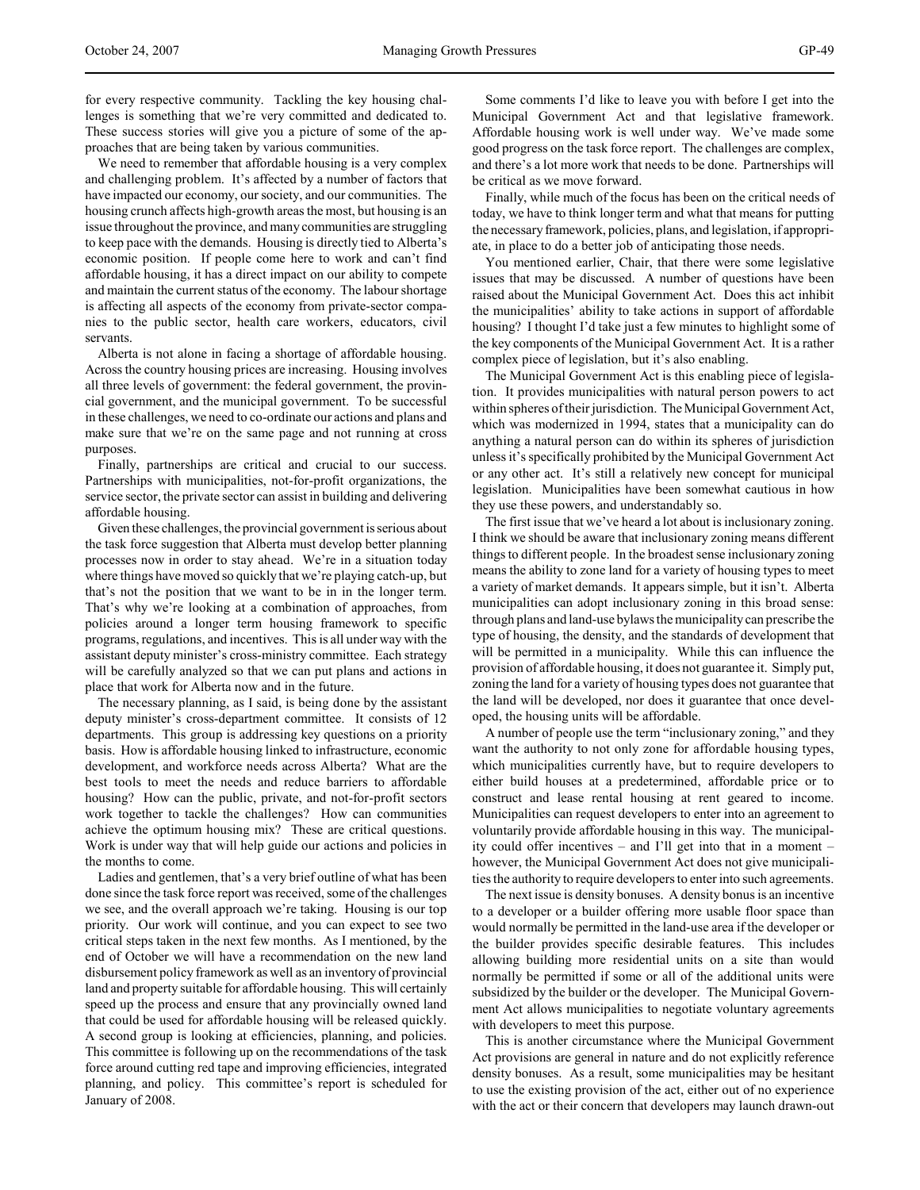for every respective community. Tackling the key housing challenges is something that we're very committed and dedicated to. These success stories will give you a picture of some of the approaches that are being taken by various communities.

We need to remember that affordable housing is a very complex and challenging problem. It's affected by a number of factors that have impacted our economy, our society, and our communities. The housing crunch affects high-growth areas the most, but housing is an issue throughout the province, and many communities are struggling to keep pace with the demands. Housing is directly tied to Alberta's economic position. If people come here to work and can't find affordable housing, it has a direct impact on our ability to compete and maintain the current status of the economy. The labour shortage is affecting all aspects of the economy from private-sector companies to the public sector, health care workers, educators, civil servants.

Alberta is not alone in facing a shortage of affordable housing. Across the country housing prices are increasing. Housing involves all three levels of government: the federal government, the provincial government, and the municipal government. To be successful in these challenges, we need to co-ordinate our actions and plans and make sure that we're on the same page and not running at cross purposes.

Finally, partnerships are critical and crucial to our success. Partnerships with municipalities, not-for-profit organizations, the service sector, the private sector can assist in building and delivering affordable housing.

Given these challenges, the provincial government is serious about the task force suggestion that Alberta must develop better planning processes now in order to stay ahead. We're in a situation today where things have moved so quickly that we're playing catch-up, but that's not the position that we want to be in in the longer term. That's why we're looking at a combination of approaches, from policies around a longer term housing framework to specific programs, regulations, and incentives. This is all under way with the assistant deputy minister's cross-ministry committee. Each strategy will be carefully analyzed so that we can put plans and actions in place that work for Alberta now and in the future.

The necessary planning, as I said, is being done by the assistant deputy minister's cross-department committee. It consists of 12 departments. This group is addressing key questions on a priority basis. How is affordable housing linked to infrastructure, economic development, and workforce needs across Alberta? What are the best tools to meet the needs and reduce barriers to affordable housing? How can the public, private, and not-for-profit sectors work together to tackle the challenges? How can communities achieve the optimum housing mix? These are critical questions. Work is under way that will help guide our actions and policies in the months to come.

Ladies and gentlemen, that's a very brief outline of what has been done since the task force report was received, some of the challenges we see, and the overall approach we're taking. Housing is our top priority. Our work will continue, and you can expect to see two critical steps taken in the next few months. As I mentioned, by the end of October we will have a recommendation on the new land disbursement policy framework as well as an inventory of provincial land and property suitable for affordable housing. This will certainly speed up the process and ensure that any provincially owned land that could be used for affordable housing will be released quickly. A second group is looking at efficiencies, planning, and policies. This committee is following up on the recommendations of the task force around cutting red tape and improving efficiencies, integrated planning, and policy. This committee's report is scheduled for January of 2008.

Some comments I'd like to leave you with before I get into the Municipal Government Act and that legislative framework. Affordable housing work is well under way. We've made some good progress on the task force report. The challenges are complex, and there's a lot more work that needs to be done. Partnerships will be critical as we move forward.

Finally, while much of the focus has been on the critical needs of today, we have to think longer term and what that means for putting the necessary framework, policies, plans, and legislation, if appropriate, in place to do a better job of anticipating those needs.

You mentioned earlier, Chair, that there were some legislative issues that may be discussed. A number of questions have been raised about the Municipal Government Act. Does this act inhibit the municipalities' ability to take actions in support of affordable housing? I thought I'd take just a few minutes to highlight some of the key components of the Municipal Government Act. It is a rather complex piece of legislation, but it's also enabling.

The Municipal Government Act is this enabling piece of legislation. It provides municipalities with natural person powers to act within spheres of their jurisdiction. The Municipal Government Act, which was modernized in 1994, states that a municipality can do anything a natural person can do within its spheres of jurisdiction unless it's specifically prohibited by the Municipal Government Act or any other act. It's still a relatively new concept for municipal legislation. Municipalities have been somewhat cautious in how they use these powers, and understandably so.

The first issue that we've heard a lot about is inclusionary zoning. I think we should be aware that inclusionary zoning means different things to different people. In the broadest sense inclusionary zoning means the ability to zone land for a variety of housing types to meet a variety of market demands. It appears simple, but it isn't. Alberta municipalities can adopt inclusionary zoning in this broad sense: through plans and land-use bylaws the municipality can prescribe the type of housing, the density, and the standards of development that will be permitted in a municipality. While this can influence the provision of affordable housing, it does not guarantee it. Simply put, zoning the land for a variety of housing types does not guarantee that the land will be developed, nor does it guarantee that once developed, the housing units will be affordable.

A number of people use the term "inclusionary zoning," and they want the authority to not only zone for affordable housing types, which municipalities currently have, but to require developers to either build houses at a predetermined, affordable price or to construct and lease rental housing at rent geared to income. Municipalities can request developers to enter into an agreement to voluntarily provide affordable housing in this way. The municipality could offer incentives – and I'll get into that in a moment – however, the Municipal Government Act does not give municipalities the authority to require developers to enter into such agreements.

The next issue is density bonuses. A density bonus is an incentive to a developer or a builder offering more usable floor space than would normally be permitted in the land-use area if the developer or the builder provides specific desirable features. This includes allowing building more residential units on a site than would normally be permitted if some or all of the additional units were subsidized by the builder or the developer. The Municipal Government Act allows municipalities to negotiate voluntary agreements with developers to meet this purpose.

This is another circumstance where the Municipal Government Act provisions are general in nature and do not explicitly reference density bonuses. As a result, some municipalities may be hesitant to use the existing provision of the act, either out of no experience with the act or their concern that developers may launch drawn-out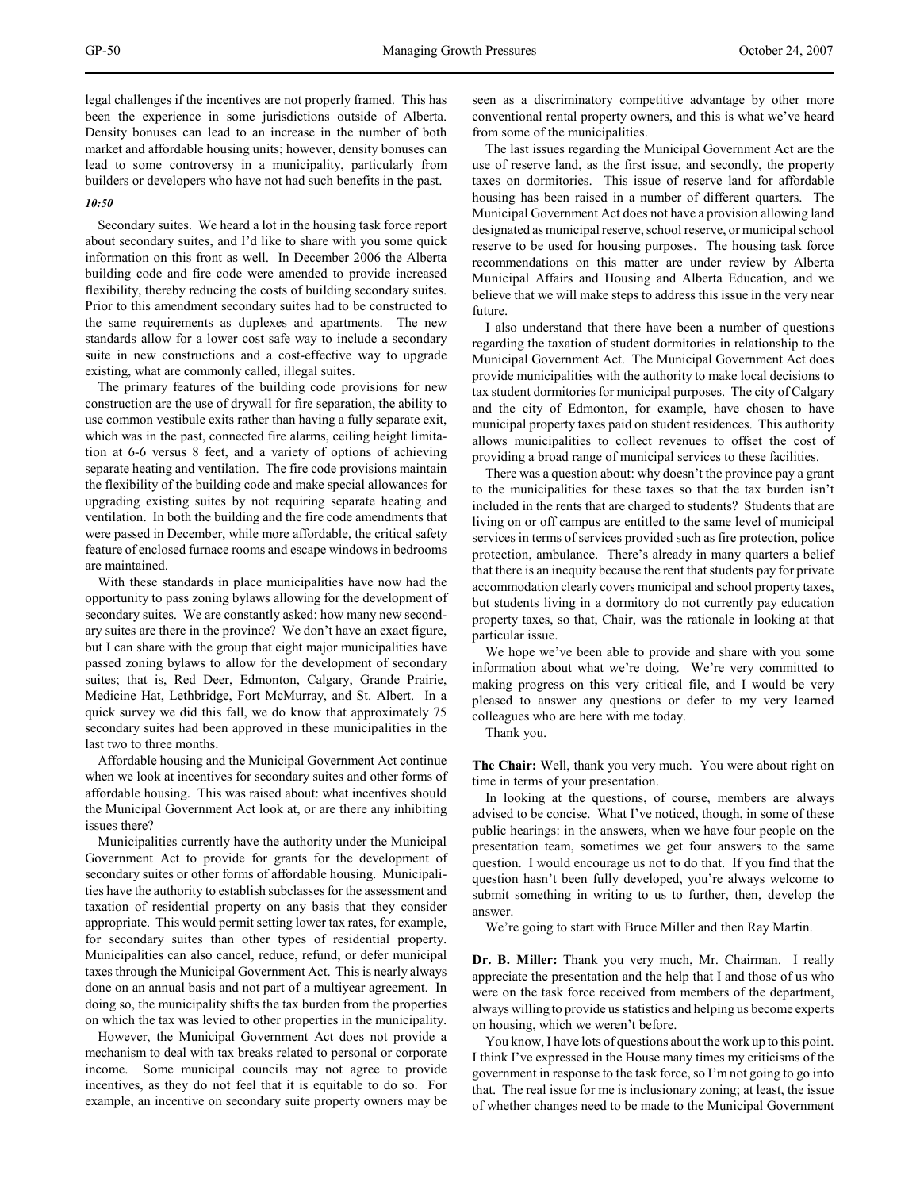legal challenges if the incentives are not properly framed. This has been the experience in some jurisdictions outside of Alberta. Density bonuses can lead to an increase in the number of both market and affordable housing units; however, density bonuses can lead to some controversy in a municipality, particularly from builders or developers who have not had such benefits in the past.

#### *10:50*

Secondary suites. We heard a lot in the housing task force report about secondary suites, and I'd like to share with you some quick information on this front as well. In December 2006 the Alberta building code and fire code were amended to provide increased flexibility, thereby reducing the costs of building secondary suites. Prior to this amendment secondary suites had to be constructed to the same requirements as duplexes and apartments. The new standards allow for a lower cost safe way to include a secondary suite in new constructions and a cost-effective way to upgrade existing, what are commonly called, illegal suites.

The primary features of the building code provisions for new construction are the use of drywall for fire separation, the ability to use common vestibule exits rather than having a fully separate exit, which was in the past, connected fire alarms, ceiling height limitation at 6-6 versus 8 feet, and a variety of options of achieving separate heating and ventilation. The fire code provisions maintain the flexibility of the building code and make special allowances for upgrading existing suites by not requiring separate heating and ventilation. In both the building and the fire code amendments that were passed in December, while more affordable, the critical safety feature of enclosed furnace rooms and escape windows in bedrooms are maintained.

With these standards in place municipalities have now had the opportunity to pass zoning bylaws allowing for the development of secondary suites. We are constantly asked: how many new secondary suites are there in the province? We don't have an exact figure, but I can share with the group that eight major municipalities have passed zoning bylaws to allow for the development of secondary suites; that is, Red Deer, Edmonton, Calgary, Grande Prairie, Medicine Hat, Lethbridge, Fort McMurray, and St. Albert. In a quick survey we did this fall, we do know that approximately 75 secondary suites had been approved in these municipalities in the last two to three months.

Affordable housing and the Municipal Government Act continue when we look at incentives for secondary suites and other forms of affordable housing. This was raised about: what incentives should the Municipal Government Act look at, or are there any inhibiting issues there?

Municipalities currently have the authority under the Municipal Government Act to provide for grants for the development of secondary suites or other forms of affordable housing. Municipalities have the authority to establish subclasses for the assessment and taxation of residential property on any basis that they consider appropriate. This would permit setting lower tax rates, for example, for secondary suites than other types of residential property. Municipalities can also cancel, reduce, refund, or defer municipal taxes through the Municipal Government Act. This is nearly always done on an annual basis and not part of a multiyear agreement. In doing so, the municipality shifts the tax burden from the properties on which the tax was levied to other properties in the municipality.

However, the Municipal Government Act does not provide a mechanism to deal with tax breaks related to personal or corporate income. Some municipal councils may not agree to provide incentives, as they do not feel that it is equitable to do so. For example, an incentive on secondary suite property owners may be seen as a discriminatory competitive advantage by other more conventional rental property owners, and this is what we've heard from some of the municipalities.

The last issues regarding the Municipal Government Act are the use of reserve land, as the first issue, and secondly, the property taxes on dormitories. This issue of reserve land for affordable housing has been raised in a number of different quarters. The Municipal Government Act does not have a provision allowing land designated as municipal reserve, school reserve, or municipal school reserve to be used for housing purposes. The housing task force recommendations on this matter are under review by Alberta Municipal Affairs and Housing and Alberta Education, and we believe that we will make steps to address this issue in the very near future.

I also understand that there have been a number of questions regarding the taxation of student dormitories in relationship to the Municipal Government Act. The Municipal Government Act does provide municipalities with the authority to make local decisions to tax student dormitories for municipal purposes. The city of Calgary and the city of Edmonton, for example, have chosen to have municipal property taxes paid on student residences. This authority allows municipalities to collect revenues to offset the cost of providing a broad range of municipal services to these facilities.

There was a question about: why doesn't the province pay a grant to the municipalities for these taxes so that the tax burden isn't included in the rents that are charged to students? Students that are living on or off campus are entitled to the same level of municipal services in terms of services provided such as fire protection, police protection, ambulance. There's already in many quarters a belief that there is an inequity because the rent that students pay for private accommodation clearly covers municipal and school property taxes, but students living in a dormitory do not currently pay education property taxes, so that, Chair, was the rationale in looking at that particular issue.

We hope we've been able to provide and share with you some information about what we're doing. We're very committed to making progress on this very critical file, and I would be very pleased to answer any questions or defer to my very learned colleagues who are here with me today.

Thank you.

**The Chair:** Well, thank you very much. You were about right on time in terms of your presentation.

In looking at the questions, of course, members are always advised to be concise. What I've noticed, though, in some of these public hearings: in the answers, when we have four people on the presentation team, sometimes we get four answers to the same question. I would encourage us not to do that. If you find that the question hasn't been fully developed, you're always welcome to submit something in writing to us to further, then, develop the answer.

We're going to start with Bruce Miller and then Ray Martin.

**Dr. B. Miller:** Thank you very much, Mr. Chairman. I really appreciate the presentation and the help that I and those of us who were on the task force received from members of the department, always willing to provide us statistics and helping us become experts on housing, which we weren't before.

You know, I have lots of questions about the work up to this point. I think I've expressed in the House many times my criticisms of the government in response to the task force, so I'm not going to go into that. The real issue for me is inclusionary zoning; at least, the issue of whether changes need to be made to the Municipal Government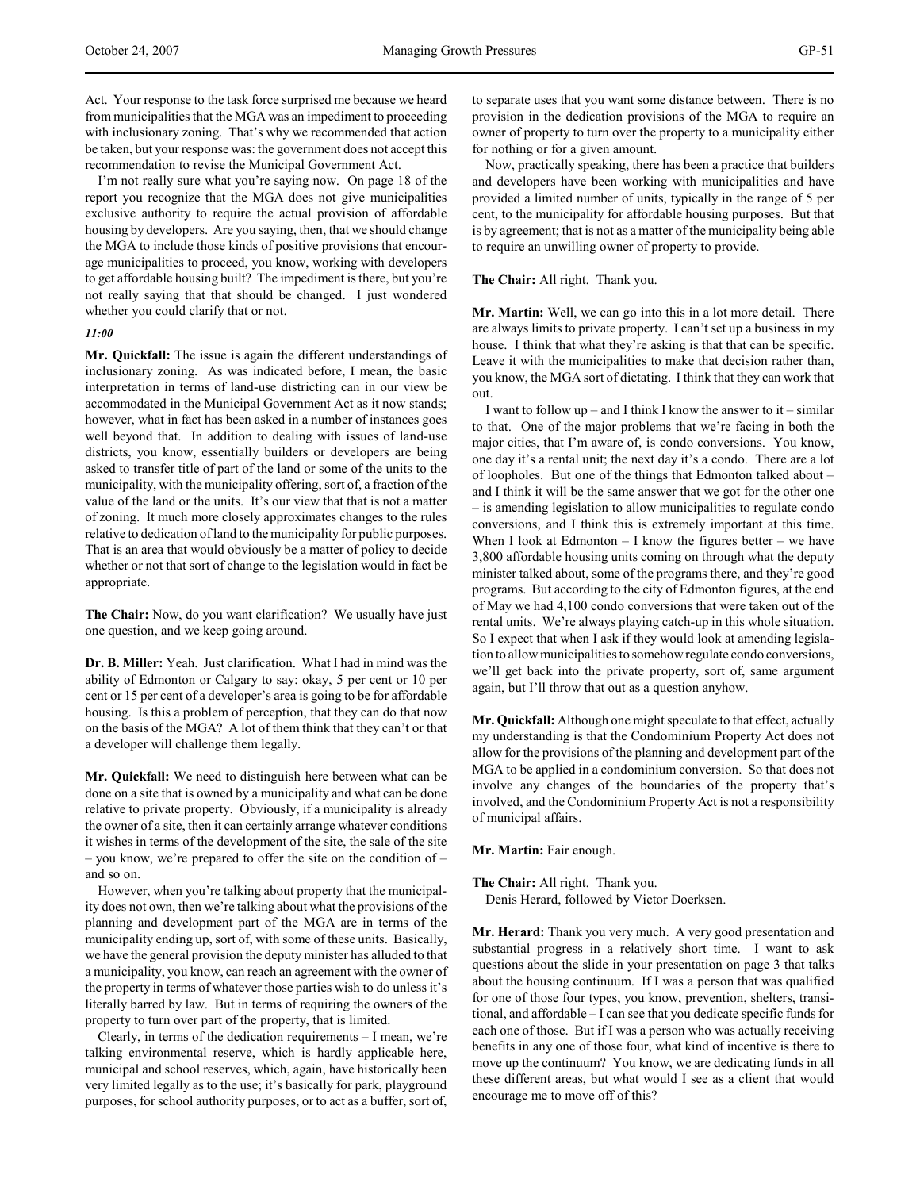Act. Your response to the task force surprised me because we heard from municipalities that the MGA was an impediment to proceeding with inclusionary zoning. That's why we recommended that action be taken, but your response was: the government does not accept this recommendation to revise the Municipal Government Act.

I'm not really sure what you're saying now. On page 18 of the report you recognize that the MGA does not give municipalities exclusive authority to require the actual provision of affordable housing by developers. Are you saying, then, that we should change the MGA to include those kinds of positive provisions that encourage municipalities to proceed, you know, working with developers to get affordable housing built? The impediment is there, but you're not really saying that that should be changed. I just wondered whether you could clarify that or not.

#### *11:00*

**Mr. Quickfall:** The issue is again the different understandings of inclusionary zoning. As was indicated before, I mean, the basic interpretation in terms of land-use districting can in our view be accommodated in the Municipal Government Act as it now stands; however, what in fact has been asked in a number of instances goes well beyond that. In addition to dealing with issues of land-use districts, you know, essentially builders or developers are being asked to transfer title of part of the land or some of the units to the municipality, with the municipality offering, sort of, a fraction of the value of the land or the units. It's our view that that is not a matter of zoning. It much more closely approximates changes to the rules relative to dedication of land to the municipality for public purposes. That is an area that would obviously be a matter of policy to decide whether or not that sort of change to the legislation would in fact be appropriate.

**The Chair:** Now, do you want clarification? We usually have just one question, and we keep going around.

**Dr. B. Miller:** Yeah. Just clarification. What I had in mind was the ability of Edmonton or Calgary to say: okay, 5 per cent or 10 per cent or 15 per cent of a developer's area is going to be for affordable housing. Is this a problem of perception, that they can do that now on the basis of the MGA? A lot of them think that they can't or that a developer will challenge them legally.

**Mr. Quickfall:** We need to distinguish here between what can be done on a site that is owned by a municipality and what can be done relative to private property. Obviously, if a municipality is already the owner of a site, then it can certainly arrange whatever conditions it wishes in terms of the development of the site, the sale of the site – you know, we're prepared to offer the site on the condition of – and so on.

However, when you're talking about property that the municipality does not own, then we're talking about what the provisions of the planning and development part of the MGA are in terms of the municipality ending up, sort of, with some of these units. Basically, we have the general provision the deputy minister has alluded to that a municipality, you know, can reach an agreement with the owner of the property in terms of whatever those parties wish to do unless it's literally barred by law. But in terms of requiring the owners of the property to turn over part of the property, that is limited.

Clearly, in terms of the dedication requirements – I mean, we're talking environmental reserve, which is hardly applicable here, municipal and school reserves, which, again, have historically been very limited legally as to the use; it's basically for park, playground purposes, for school authority purposes, or to act as a buffer, sort of, to separate uses that you want some distance between. There is no provision in the dedication provisions of the MGA to require an owner of property to turn over the property to a municipality either for nothing or for a given amount.

Now, practically speaking, there has been a practice that builders and developers have been working with municipalities and have provided a limited number of units, typically in the range of 5 per cent, to the municipality for affordable housing purposes. But that is by agreement; that is not as a matter of the municipality being able to require an unwilling owner of property to provide.

## **The Chair:** All right. Thank you.

**Mr. Martin:** Well, we can go into this in a lot more detail. There are always limits to private property. I can't set up a business in my house. I think that what they're asking is that that can be specific. Leave it with the municipalities to make that decision rather than, you know, the MGA sort of dictating. I think that they can work that out.

I want to follow up – and I think I know the answer to  $it$  – similar to that. One of the major problems that we're facing in both the major cities, that I'm aware of, is condo conversions. You know, one day it's a rental unit; the next day it's a condo. There are a lot of loopholes. But one of the things that Edmonton talked about – and I think it will be the same answer that we got for the other one – is amending legislation to allow municipalities to regulate condo conversions, and I think this is extremely important at this time. When I look at Edmonton  $-$  I know the figures better  $-$  we have 3,800 affordable housing units coming on through what the deputy minister talked about, some of the programs there, and they're good programs. But according to the city of Edmonton figures, at the end of May we had 4,100 condo conversions that were taken out of the rental units. We're always playing catch-up in this whole situation. So I expect that when I ask if they would look at amending legislation to allow municipalities to somehow regulate condo conversions, we'll get back into the private property, sort of, same argument again, but I'll throw that out as a question anyhow.

**Mr. Quickfall:** Although one might speculate to that effect, actually my understanding is that the Condominium Property Act does not allow for the provisions of the planning and development part of the MGA to be applied in a condominium conversion. So that does not involve any changes of the boundaries of the property that's involved, and the Condominium Property Act is not a responsibility of municipal affairs.

## **Mr. Martin:** Fair enough.

**The Chair:** All right. Thank you. Denis Herard, followed by Victor Doerksen.

**Mr. Herard:** Thank you very much. A very good presentation and substantial progress in a relatively short time. I want to ask questions about the slide in your presentation on page 3 that talks about the housing continuum. If I was a person that was qualified for one of those four types, you know, prevention, shelters, transitional, and affordable – I can see that you dedicate specific funds for each one of those. But if I was a person who was actually receiving benefits in any one of those four, what kind of incentive is there to move up the continuum? You know, we are dedicating funds in all these different areas, but what would I see as a client that would encourage me to move off of this?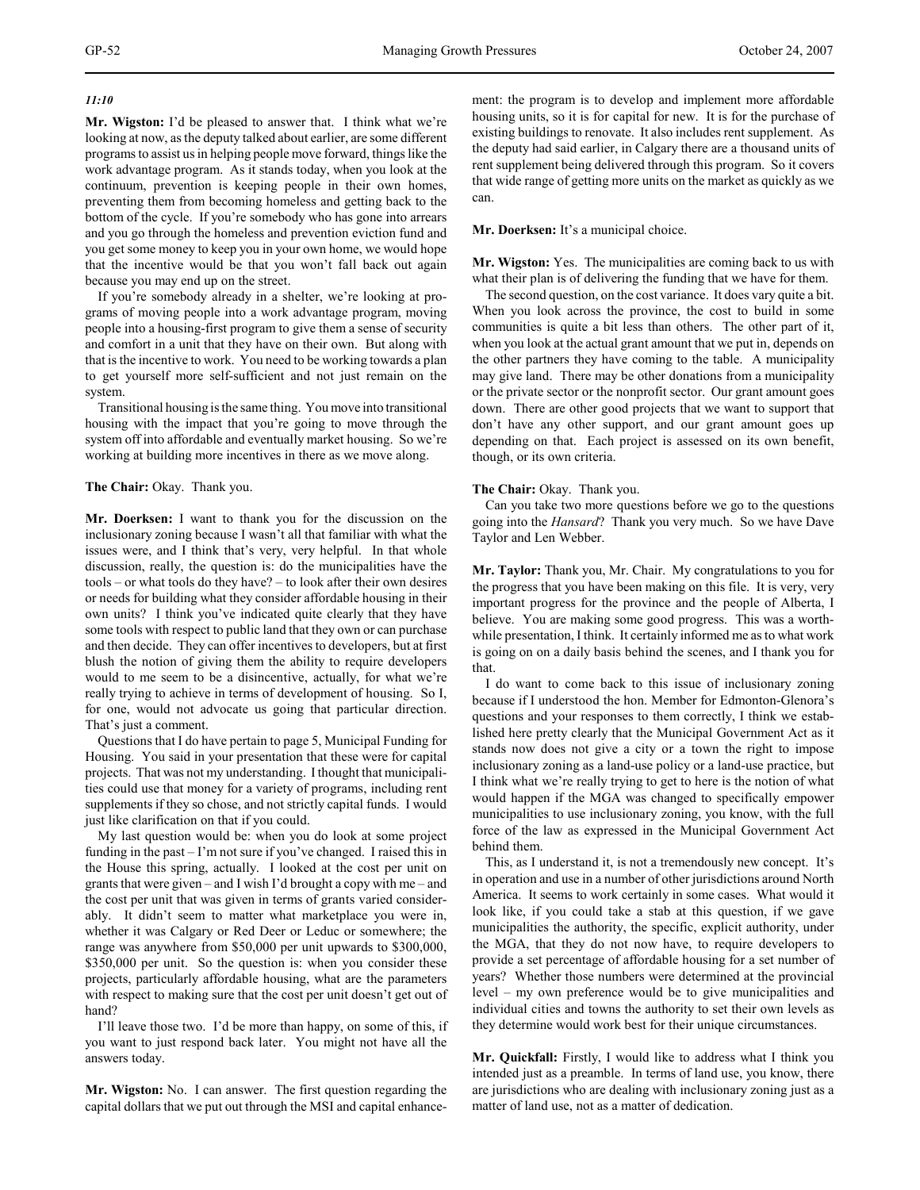## *11:10*

**Mr. Wigston:** I'd be pleased to answer that. I think what we're looking at now, as the deputy talked about earlier, are some different programs to assist us in helping people move forward, things like the work advantage program. As it stands today, when you look at the continuum, prevention is keeping people in their own homes, preventing them from becoming homeless and getting back to the bottom of the cycle. If you're somebody who has gone into arrears and you go through the homeless and prevention eviction fund and you get some money to keep you in your own home, we would hope that the incentive would be that you won't fall back out again because you may end up on the street.

If you're somebody already in a shelter, we're looking at programs of moving people into a work advantage program, moving people into a housing-first program to give them a sense of security and comfort in a unit that they have on their own. But along with that is the incentive to work. You need to be working towards a plan to get yourself more self-sufficient and not just remain on the system.

Transitional housing is the same thing. You move into transitional housing with the impact that you're going to move through the system off into affordable and eventually market housing. So we're working at building more incentives in there as we move along.

## **The Chair:** Okay. Thank you.

**Mr. Doerksen:** I want to thank you for the discussion on the inclusionary zoning because I wasn't all that familiar with what the issues were, and I think that's very, very helpful. In that whole discussion, really, the question is: do the municipalities have the tools – or what tools do they have? – to look after their own desires or needs for building what they consider affordable housing in their own units? I think you've indicated quite clearly that they have some tools with respect to public land that they own or can purchase and then decide. They can offer incentives to developers, but at first blush the notion of giving them the ability to require developers would to me seem to be a disincentive, actually, for what we're really trying to achieve in terms of development of housing. So I, for one, would not advocate us going that particular direction. That's just a comment.

Questions that I do have pertain to page 5, Municipal Funding for Housing. You said in your presentation that these were for capital projects. That was not my understanding. I thought that municipalities could use that money for a variety of programs, including rent supplements if they so chose, and not strictly capital funds. I would just like clarification on that if you could.

My last question would be: when you do look at some project funding in the past – I'm not sure if you've changed. I raised this in the House this spring, actually. I looked at the cost per unit on grants that were given – and I wish I'd brought a copy with me – and the cost per unit that was given in terms of grants varied considerably. It didn't seem to matter what marketplace you were in, whether it was Calgary or Red Deer or Leduc or somewhere; the range was anywhere from \$50,000 per unit upwards to \$300,000, \$350,000 per unit. So the question is: when you consider these projects, particularly affordable housing, what are the parameters with respect to making sure that the cost per unit doesn't get out of hand?

I'll leave those two. I'd be more than happy, on some of this, if you want to just respond back later. You might not have all the answers today.

**Mr. Wigston:** No. I can answer. The first question regarding the capital dollars that we put out through the MSI and capital enhancement: the program is to develop and implement more affordable housing units, so it is for capital for new. It is for the purchase of existing buildings to renovate. It also includes rent supplement. As the deputy had said earlier, in Calgary there are a thousand units of rent supplement being delivered through this program. So it covers that wide range of getting more units on the market as quickly as we can.

## **Mr. Doerksen:** It's a municipal choice.

**Mr. Wigston:** Yes. The municipalities are coming back to us with what their plan is of delivering the funding that we have for them.

The second question, on the cost variance. It does vary quite a bit. When you look across the province, the cost to build in some communities is quite a bit less than others. The other part of it, when you look at the actual grant amount that we put in, depends on the other partners they have coming to the table. A municipality may give land. There may be other donations from a municipality or the private sector or the nonprofit sector. Our grant amount goes down. There are other good projects that we want to support that don't have any other support, and our grant amount goes up depending on that. Each project is assessed on its own benefit, though, or its own criteria.

## **The Chair:** Okay. Thank you.

Can you take two more questions before we go to the questions going into the *Hansard*? Thank you very much. So we have Dave Taylor and Len Webber.

**Mr. Taylor:** Thank you, Mr. Chair. My congratulations to you for the progress that you have been making on this file. It is very, very important progress for the province and the people of Alberta, I believe. You are making some good progress. This was a worthwhile presentation, I think. It certainly informed me as to what work is going on on a daily basis behind the scenes, and I thank you for that.

I do want to come back to this issue of inclusionary zoning because if I understood the hon. Member for Edmonton-Glenora's questions and your responses to them correctly, I think we established here pretty clearly that the Municipal Government Act as it stands now does not give a city or a town the right to impose inclusionary zoning as a land-use policy or a land-use practice, but I think what we're really trying to get to here is the notion of what would happen if the MGA was changed to specifically empower municipalities to use inclusionary zoning, you know, with the full force of the law as expressed in the Municipal Government Act behind them.

This, as I understand it, is not a tremendously new concept. It's in operation and use in a number of other jurisdictions around North America. It seems to work certainly in some cases. What would it look like, if you could take a stab at this question, if we gave municipalities the authority, the specific, explicit authority, under the MGA, that they do not now have, to require developers to provide a set percentage of affordable housing for a set number of years? Whether those numbers were determined at the provincial level – my own preference would be to give municipalities and individual cities and towns the authority to set their own levels as they determine would work best for their unique circumstances.

**Mr. Quickfall:** Firstly, I would like to address what I think you intended just as a preamble. In terms of land use, you know, there are jurisdictions who are dealing with inclusionary zoning just as a matter of land use, not as a matter of dedication.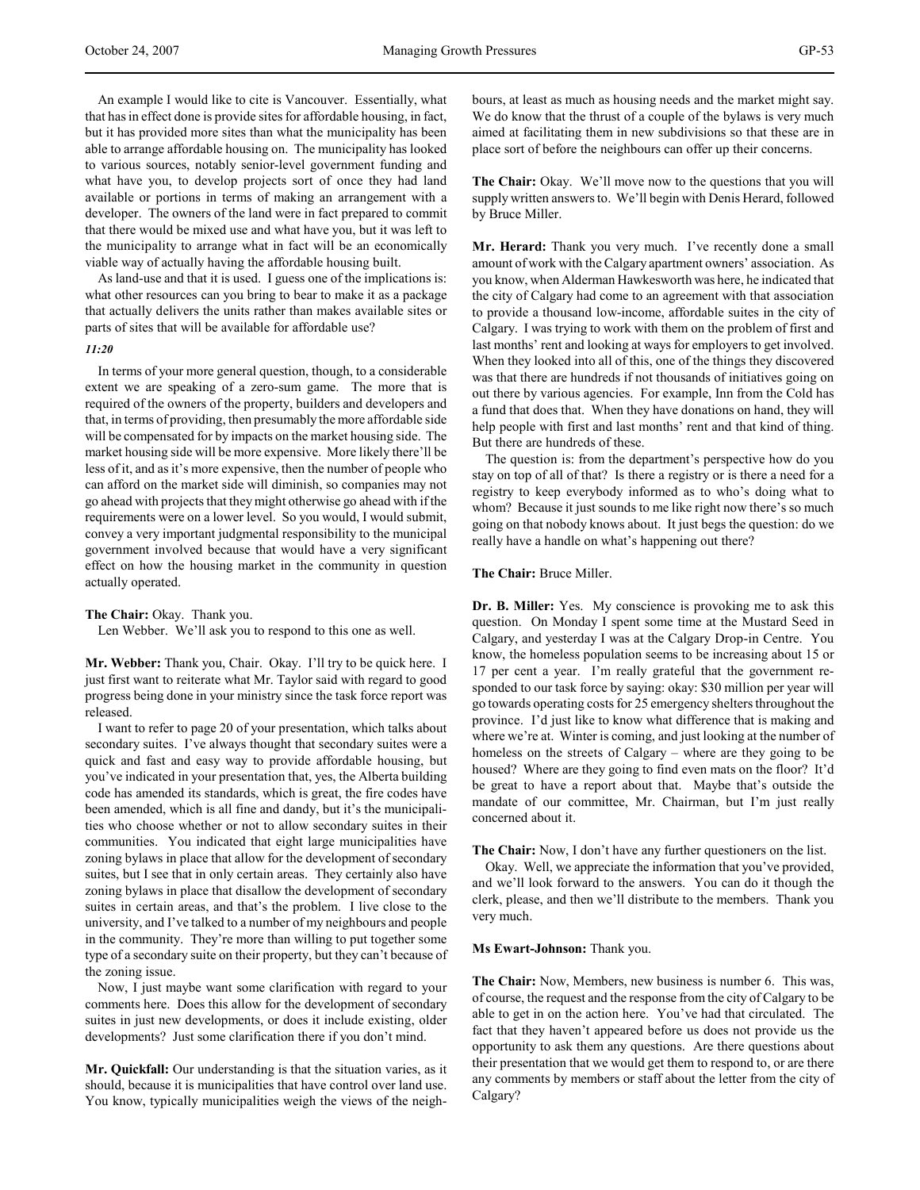An example I would like to cite is Vancouver. Essentially, what that has in effect done is provide sites for affordable housing, in fact, but it has provided more sites than what the municipality has been able to arrange affordable housing on. The municipality has looked to various sources, notably senior-level government funding and what have you, to develop projects sort of once they had land available or portions in terms of making an arrangement with a developer. The owners of the land were in fact prepared to commit that there would be mixed use and what have you, but it was left to the municipality to arrange what in fact will be an economically viable way of actually having the affordable housing built.

As land-use and that it is used. I guess one of the implications is: what other resources can you bring to bear to make it as a package that actually delivers the units rather than makes available sites or parts of sites that will be available for affordable use?

#### *11:20*

In terms of your more general question, though, to a considerable extent we are speaking of a zero-sum game. The more that is required of the owners of the property, builders and developers and that, in terms of providing, then presumably the more affordable side will be compensated for by impacts on the market housing side. The market housing side will be more expensive. More likely there'll be less of it, and as it's more expensive, then the number of people who can afford on the market side will diminish, so companies may not go ahead with projects that they might otherwise go ahead with if the requirements were on a lower level. So you would, I would submit, convey a very important judgmental responsibility to the municipal government involved because that would have a very significant effect on how the housing market in the community in question actually operated.

**The Chair:** Okay. Thank you.

Len Webber. We'll ask you to respond to this one as well.

**Mr. Webber:** Thank you, Chair. Okay. I'll try to be quick here. I just first want to reiterate what Mr. Taylor said with regard to good progress being done in your ministry since the task force report was released.

I want to refer to page 20 of your presentation, which talks about secondary suites. I've always thought that secondary suites were a quick and fast and easy way to provide affordable housing, but you've indicated in your presentation that, yes, the Alberta building code has amended its standards, which is great, the fire codes have been amended, which is all fine and dandy, but it's the municipalities who choose whether or not to allow secondary suites in their communities. You indicated that eight large municipalities have zoning bylaws in place that allow for the development of secondary suites, but I see that in only certain areas. They certainly also have zoning bylaws in place that disallow the development of secondary suites in certain areas, and that's the problem. I live close to the university, and I've talked to a number of my neighbours and people in the community. They're more than willing to put together some type of a secondary suite on their property, but they can't because of the zoning issue.

Now, I just maybe want some clarification with regard to your comments here. Does this allow for the development of secondary suites in just new developments, or does it include existing, older developments? Just some clarification there if you don't mind.

**Mr. Quickfall:** Our understanding is that the situation varies, as it should, because it is municipalities that have control over land use. You know, typically municipalities weigh the views of the neighbours, at least as much as housing needs and the market might say. We do know that the thrust of a couple of the bylaws is very much aimed at facilitating them in new subdivisions so that these are in place sort of before the neighbours can offer up their concerns.

**The Chair:** Okay. We'll move now to the questions that you will supply written answers to. We'll begin with Denis Herard, followed by Bruce Miller.

**Mr. Herard:** Thank you very much. I've recently done a small amount of work with the Calgary apartment owners' association. As you know, when Alderman Hawkesworth was here, he indicated that the city of Calgary had come to an agreement with that association to provide a thousand low-income, affordable suites in the city of Calgary. I was trying to work with them on the problem of first and last months' rent and looking at ways for employers to get involved. When they looked into all of this, one of the things they discovered was that there are hundreds if not thousands of initiatives going on out there by various agencies. For example, Inn from the Cold has a fund that does that. When they have donations on hand, they will help people with first and last months' rent and that kind of thing. But there are hundreds of these.

The question is: from the department's perspective how do you stay on top of all of that? Is there a registry or is there a need for a registry to keep everybody informed as to who's doing what to whom? Because it just sounds to me like right now there's so much going on that nobody knows about. It just begs the question: do we really have a handle on what's happening out there?

**The Chair:** Bruce Miller.

**Dr. B. Miller:** Yes. My conscience is provoking me to ask this question. On Monday I spent some time at the Mustard Seed in Calgary, and yesterday I was at the Calgary Drop-in Centre. You know, the homeless population seems to be increasing about 15 or 17 per cent a year. I'm really grateful that the government responded to our task force by saying: okay: \$30 million per year will go towards operating costs for 25 emergency shelters throughout the province. I'd just like to know what difference that is making and where we're at. Winter is coming, and just looking at the number of homeless on the streets of Calgary – where are they going to be housed? Where are they going to find even mats on the floor? It'd be great to have a report about that. Maybe that's outside the mandate of our committee, Mr. Chairman, but I'm just really concerned about it.

**The Chair:** Now, I don't have any further questioners on the list.

Okay. Well, we appreciate the information that you've provided, and we'll look forward to the answers. You can do it though the clerk, please, and then we'll distribute to the members. Thank you very much.

**Ms Ewart-Johnson:** Thank you.

**The Chair:** Now, Members, new business is number 6. This was, of course, the request and the response from the city of Calgary to be able to get in on the action here. You've had that circulated. The fact that they haven't appeared before us does not provide us the opportunity to ask them any questions. Are there questions about their presentation that we would get them to respond to, or are there any comments by members or staff about the letter from the city of Calgary?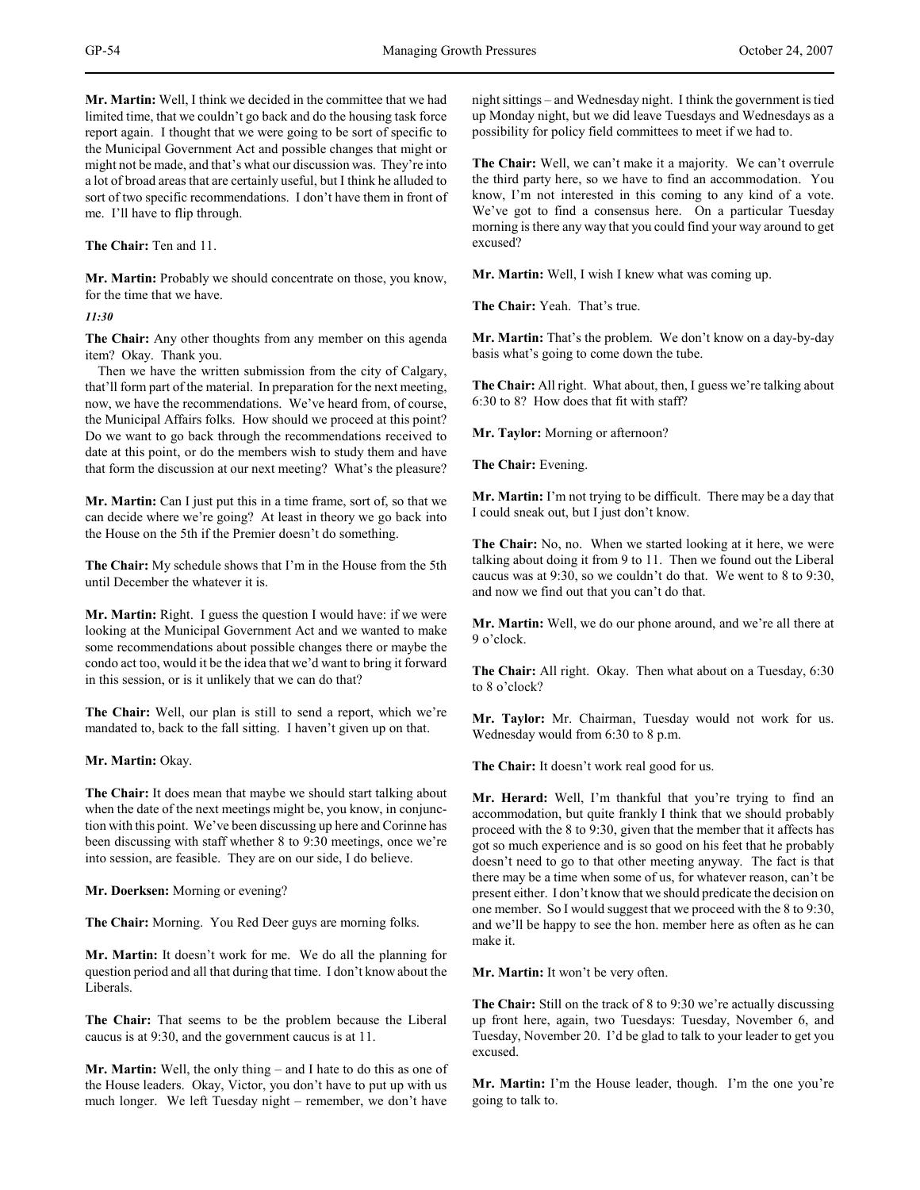**Mr. Martin:** Well, I think we decided in the committee that we had limited time, that we couldn't go back and do the housing task force report again. I thought that we were going to be sort of specific to the Municipal Government Act and possible changes that might or might not be made, and that's what our discussion was. They're into a lot of broad areas that are certainly useful, but I think he alluded to sort of two specific recommendations. I don't have them in front of me. I'll have to flip through.

**The Chair:** Ten and 11.

**Mr. Martin:** Probably we should concentrate on those, you know, for the time that we have.

*11:30*

**The Chair:** Any other thoughts from any member on this agenda item? Okay. Thank you.

Then we have the written submission from the city of Calgary, that'll form part of the material. In preparation for the next meeting, now, we have the recommendations. We've heard from, of course, the Municipal Affairs folks. How should we proceed at this point? Do we want to go back through the recommendations received to date at this point, or do the members wish to study them and have that form the discussion at our next meeting? What's the pleasure?

**Mr. Martin:** Can I just put this in a time frame, sort of, so that we can decide where we're going? At least in theory we go back into the House on the 5th if the Premier doesn't do something.

**The Chair:** My schedule shows that I'm in the House from the 5th until December the whatever it is.

**Mr. Martin:** Right. I guess the question I would have: if we were looking at the Municipal Government Act and we wanted to make some recommendations about possible changes there or maybe the condo act too, would it be the idea that we'd want to bring it forward in this session, or is it unlikely that we can do that?

**The Chair:** Well, our plan is still to send a report, which we're mandated to, back to the fall sitting. I haven't given up on that.

**Mr. Martin:** Okay.

**The Chair:** It does mean that maybe we should start talking about when the date of the next meetings might be, you know, in conjunction with this point. We've been discussing up here and Corinne has been discussing with staff whether 8 to 9:30 meetings, once we're into session, are feasible. They are on our side, I do believe.

**Mr. Doerksen:** Morning or evening?

**The Chair:** Morning. You Red Deer guys are morning folks.

**Mr. Martin:** It doesn't work for me. We do all the planning for question period and all that during that time. I don't know about the Liberals.

**The Chair:** That seems to be the problem because the Liberal caucus is at 9:30, and the government caucus is at 11.

**Mr. Martin:** Well, the only thing – and I hate to do this as one of the House leaders. Okay, Victor, you don't have to put up with us much longer. We left Tuesday night – remember, we don't have

night sittings – and Wednesday night. I think the government is tied up Monday night, but we did leave Tuesdays and Wednesdays as a possibility for policy field committees to meet if we had to.

**The Chair:** Well, we can't make it a majority. We can't overrule the third party here, so we have to find an accommodation. You know, I'm not interested in this coming to any kind of a vote. We've got to find a consensus here. On a particular Tuesday morning is there any way that you could find your way around to get excused?

**Mr. Martin:** Well, I wish I knew what was coming up.

**The Chair:** Yeah. That's true.

**Mr. Martin:** That's the problem. We don't know on a day-by-day basis what's going to come down the tube.

**The Chair:** All right. What about, then, I guess we're talking about 6:30 to 8? How does that fit with staff?

**Mr. Taylor:** Morning or afternoon?

**The Chair:** Evening.

**Mr. Martin:** I'm not trying to be difficult. There may be a day that I could sneak out, but I just don't know.

**The Chair:** No, no. When we started looking at it here, we were talking about doing it from 9 to 11. Then we found out the Liberal caucus was at 9:30, so we couldn't do that. We went to 8 to 9:30, and now we find out that you can't do that.

**Mr. Martin:** Well, we do our phone around, and we're all there at 9 o'clock.

**The Chair:** All right. Okay. Then what about on a Tuesday, 6:30 to 8 o'clock?

**Mr. Taylor:** Mr. Chairman, Tuesday would not work for us. Wednesday would from 6:30 to 8 p.m.

**The Chair:** It doesn't work real good for us.

**Mr. Herard:** Well, I'm thankful that you're trying to find an accommodation, but quite frankly I think that we should probably proceed with the 8 to 9:30, given that the member that it affects has got so much experience and is so good on his feet that he probably doesn't need to go to that other meeting anyway. The fact is that there may be a time when some of us, for whatever reason, can't be present either. I don't know that we should predicate the decision on one member. So I would suggest that we proceed with the 8 to 9:30, and we'll be happy to see the hon. member here as often as he can make it.

**Mr. Martin:** It won't be very often.

**The Chair:** Still on the track of 8 to 9:30 we're actually discussing up front here, again, two Tuesdays: Tuesday, November 6, and Tuesday, November 20. I'd be glad to talk to your leader to get you excused.

**Mr. Martin:** I'm the House leader, though. I'm the one you're going to talk to.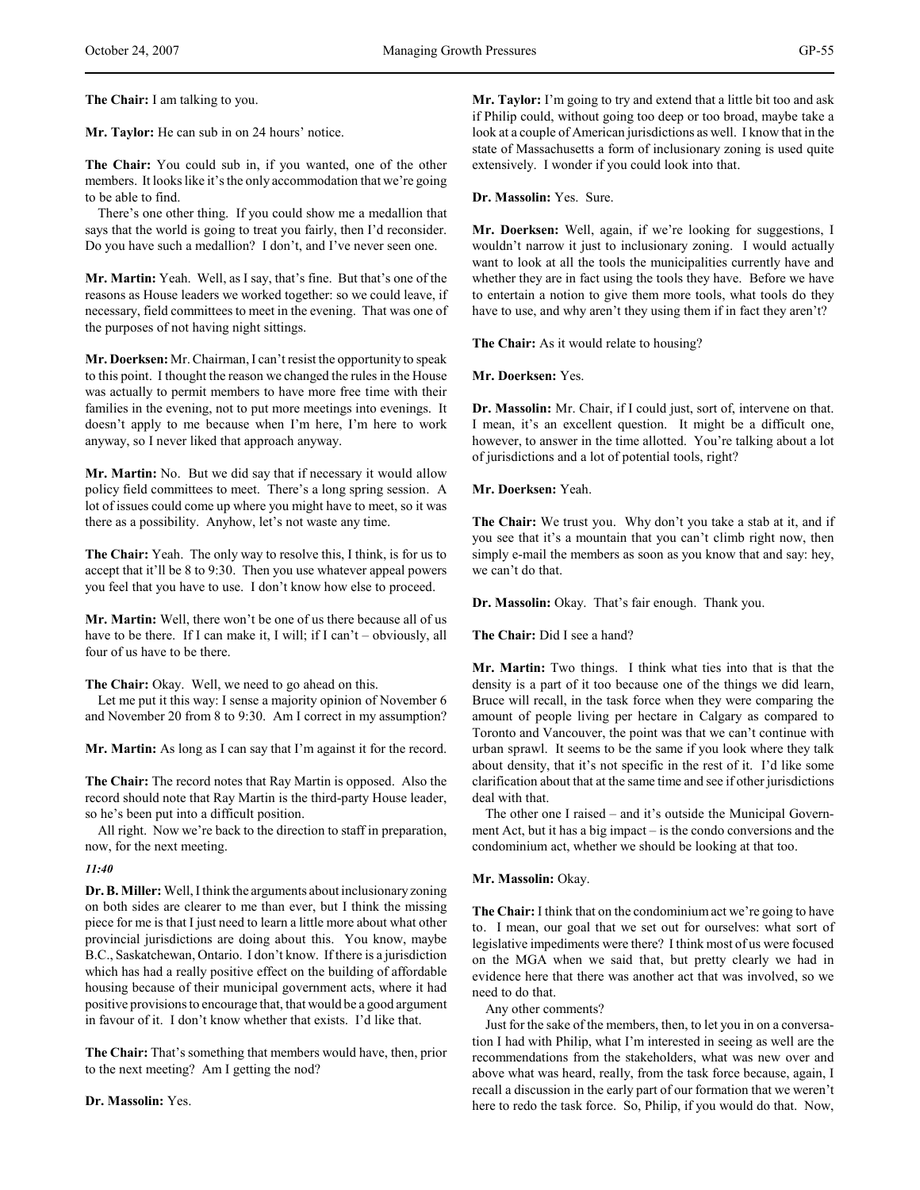**The Chair:** I am talking to you.

**Mr. Taylor:** He can sub in on 24 hours' notice.

**The Chair:** You could sub in, if you wanted, one of the other members. It looks like it's the only accommodation that we're going to be able to find.

There's one other thing. If you could show me a medallion that says that the world is going to treat you fairly, then I'd reconsider. Do you have such a medallion? I don't, and I've never seen one.

**Mr. Martin:** Yeah. Well, as I say, that's fine. But that's one of the reasons as House leaders we worked together: so we could leave, if necessary, field committees to meet in the evening. That was one of the purposes of not having night sittings.

**Mr. Doerksen:** Mr. Chairman, I can't resist the opportunity to speak to this point. I thought the reason we changed the rules in the House was actually to permit members to have more free time with their families in the evening, not to put more meetings into evenings. It doesn't apply to me because when I'm here, I'm here to work anyway, so I never liked that approach anyway.

**Mr. Martin:** No. But we did say that if necessary it would allow policy field committees to meet. There's a long spring session. A lot of issues could come up where you might have to meet, so it was there as a possibility. Anyhow, let's not waste any time.

**The Chair:** Yeah. The only way to resolve this, I think, is for us to accept that it'll be 8 to 9:30. Then you use whatever appeal powers you feel that you have to use. I don't know how else to proceed.

**Mr. Martin:** Well, there won't be one of us there because all of us have to be there. If I can make it, I will; if I can't – obviously, all four of us have to be there.

**The Chair:** Okay. Well, we need to go ahead on this.

Let me put it this way: I sense a majority opinion of November 6 and November 20 from 8 to 9:30. Am I correct in my assumption?

**Mr. Martin:** As long as I can say that I'm against it for the record.

**The Chair:** The record notes that Ray Martin is opposed. Also the record should note that Ray Martin is the third-party House leader, so he's been put into a difficult position.

All right. Now we're back to the direction to staff in preparation, now, for the next meeting.

# *11:40*

**Dr. B. Miller:** Well, I think the arguments about inclusionary zoning on both sides are clearer to me than ever, but I think the missing piece for me is that I just need to learn a little more about what other provincial jurisdictions are doing about this. You know, maybe B.C., Saskatchewan, Ontario. I don't know. If there is a jurisdiction which has had a really positive effect on the building of affordable housing because of their municipal government acts, where it had positive provisions to encourage that, that would be a good argument in favour of it. I don't know whether that exists. I'd like that.

**The Chair:** That's something that members would have, then, prior to the next meeting? Am I getting the nod?

**Dr. Massolin:** Yes.

**Mr. Taylor:** I'm going to try and extend that a little bit too and ask if Philip could, without going too deep or too broad, maybe take a look at a couple of American jurisdictions as well. I know that in the state of Massachusetts a form of inclusionary zoning is used quite extensively. I wonder if you could look into that.

# **Dr. Massolin:** Yes. Sure.

**Mr. Doerksen:** Well, again, if we're looking for suggestions, I wouldn't narrow it just to inclusionary zoning. I would actually want to look at all the tools the municipalities currently have and whether they are in fact using the tools they have. Before we have to entertain a notion to give them more tools, what tools do they have to use, and why aren't they using them if in fact they aren't?

**The Chair:** As it would relate to housing?

**Mr. Doerksen:** Yes.

**Dr. Massolin:** Mr. Chair, if I could just, sort of, intervene on that. I mean, it's an excellent question. It might be a difficult one, however, to answer in the time allotted. You're talking about a lot of jurisdictions and a lot of potential tools, right?

**Mr. Doerksen:** Yeah.

**The Chair:** We trust you. Why don't you take a stab at it, and if you see that it's a mountain that you can't climb right now, then simply e-mail the members as soon as you know that and say: hey, we can't do that.

**Dr. Massolin:** Okay. That's fair enough. Thank you.

**The Chair:** Did I see a hand?

**Mr. Martin:** Two things. I think what ties into that is that the density is a part of it too because one of the things we did learn, Bruce will recall, in the task force when they were comparing the amount of people living per hectare in Calgary as compared to Toronto and Vancouver, the point was that we can't continue with urban sprawl. It seems to be the same if you look where they talk about density, that it's not specific in the rest of it. I'd like some clarification about that at the same time and see if other jurisdictions deal with that.

The other one I raised – and it's outside the Municipal Government Act, but it has a big impact – is the condo conversions and the condominium act, whether we should be looking at that too.

# **Mr. Massolin:** Okay.

**The Chair:** I think that on the condominium act we're going to have to. I mean, our goal that we set out for ourselves: what sort of legislative impediments were there? I think most of us were focused on the MGA when we said that, but pretty clearly we had in evidence here that there was another act that was involved, so we need to do that.

Any other comments?

Just for the sake of the members, then, to let you in on a conversation I had with Philip, what I'm interested in seeing as well are the recommendations from the stakeholders, what was new over and above what was heard, really, from the task force because, again, I recall a discussion in the early part of our formation that we weren't here to redo the task force. So, Philip, if you would do that. Now,